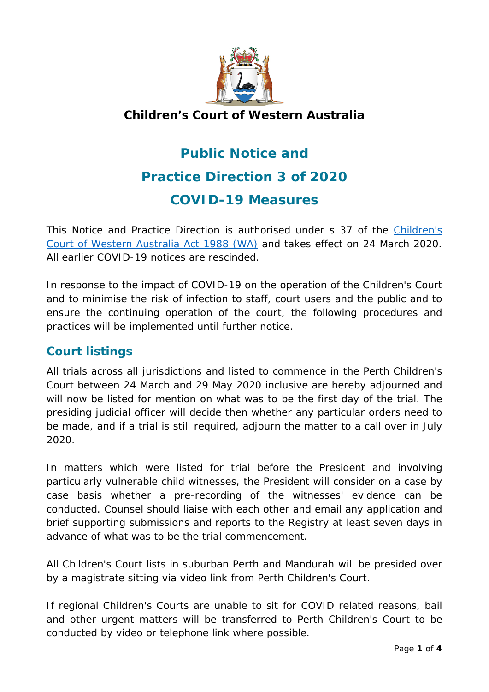

# **Children's Court of Western Australia**

# **Public Notice and Practice Direction 3 of 2020 COVID-19 Measures**

This Notice and Practice Direction is authorised under s 37 of the *[Children's](https://www.legislation.wa.gov.au/legislation/statutes.nsf/law_a124.html)  [Court of Western Australia Act 1988](https://www.legislation.wa.gov.au/legislation/statutes.nsf/law_a124.html)* (WA) and takes effect on 24 March 2020. All earlier COVID-19 notices are rescinded.

In response to the impact of COVID-19 on the operation of the Children's Court and to minimise the risk of infection to staff, court users and the public and to ensure the continuing operation of the court, the following procedures and practices will be implemented until further notice.

# **Court listings**

All trials across all jurisdictions and listed to commence in the Perth Children's Court between 24 March and 29 May 2020 inclusive are hereby adjourned and will now be listed for mention on what was to be the first day of the trial. The presiding judicial officer will decide then whether any particular orders need to be made, and if a trial is still required, adjourn the matter to a call over in July 2020.

In matters which were listed for trial before the President and involving particularly vulnerable child witnesses, the President will consider on a case by case basis whether a pre-recording of the witnesses' evidence can be conducted. Counsel should liaise with each other and email any application and brief supporting submissions and reports to the Registry at least seven days in advance of what was to be the trial commencement.

All Children's Court lists in suburban Perth and Mandurah will be presided over by a magistrate sitting via video link from Perth Children's Court.

If regional Children's Courts are unable to sit for COVID related reasons, bail and other urgent matters will be transferred to Perth Children's Court to be conducted by video or telephone link where possible.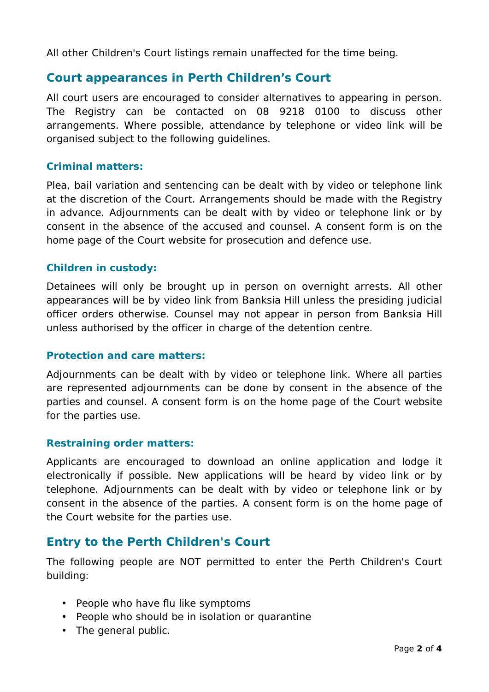All other Children's Court listings remain unaffected for the time being.

## **Court appearances in Perth Children's Court**

All court users are encouraged to consider alternatives to appearing in person. The Registry can be contacted on 08 9218 0100 to discuss other arrangements. Where possible, attendance by telephone or video link will be organised subject to the following guidelines.

#### **Criminal matters:**

Plea, bail variation and sentencing can be dealt with by video or telephone link at the discretion of the Court. Arrangements should be made with the Registry in advance. Adjournments can be dealt with by video or telephone link or by consent in the absence of the accused and counsel. A consent form is on the home page of the Court website for prosecution and defence use.

#### **Children in custody:**

Detainees will only be brought up in person on overnight arrests. All other appearances will be by video link from Banksia Hill unless the presiding judicial officer orders otherwise. Counsel may not appear in person from Banksia Hill unless authorised by the officer in charge of the detention centre.

#### **Protection and care matters:**

Adjournments can be dealt with by video or telephone link. Where all parties are represented adjournments can be done by consent in the absence of the parties and counsel. A consent form is on the home page of the Court website for the parties use.

#### **Restraining order matters:**

Applicants are encouraged to download an online application and lodge it electronically if possible. New applications will be heard by video link or by telephone. Adjournments can be dealt with by video or telephone link or by consent in the absence of the parties. A consent form is on the home page of the Court website for the parties use.

## **Entry to the Perth Children's Court**

The following people are NOT permitted to enter the Perth Children's Court building:

- People who have flu like symptoms
- People who should be in isolation or quarantine
- The general public.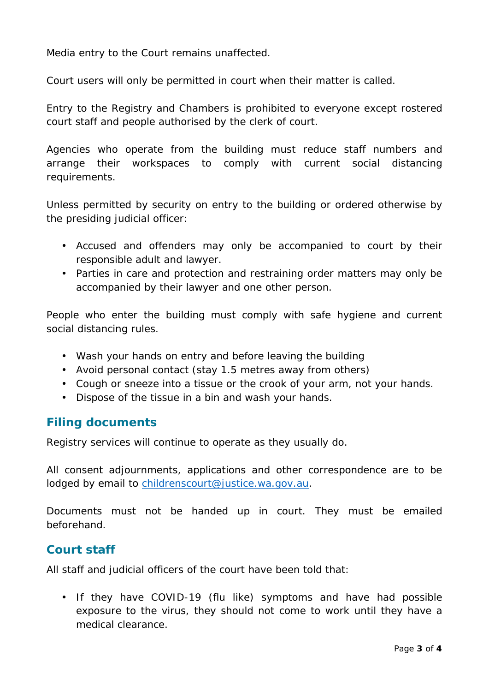Media entry to the Court remains unaffected.

Court users will only be permitted in court when their matter is called.

Entry to the Registry and Chambers is prohibited to everyone except rostered court staff and people authorised by the clerk of court.

Agencies who operate from the building must reduce staff numbers and arrange their workspaces to comply with current social distancing requirements.

Unless permitted by security on entry to the building or ordered otherwise by the presiding judicial officer:

- Accused and offenders may only be accompanied to court by their responsible adult and lawyer.
- Parties in care and protection and restraining order matters may only be accompanied by their lawyer and one other person.

People who enter the building must comply with safe hygiene and current social distancing rules.

- Wash your hands on entry and before leaving the building
- Avoid personal contact (stay 1.5 metres away from others)
- Cough or sneeze into a tissue or the crook of your arm, not your hands.
- Dispose of the tissue in a bin and wash your hands.

#### **Filing documents**

Registry services will continue to operate as they usually do.

All consent adjournments, applications and other correspondence are to be lodged by email to [childrenscourt@justice.wa.gov.au.](mailto:childrenscourt@justice.wa.gov.au)

Documents must not be handed up in court. They must be emailed beforehand.

## **Court staff**

All staff and judicial officers of the court have been told that:

• If they have COVID-19 (flu like) symptoms and have had possible exposure to the virus, they should not come to work until they have a medical clearance.